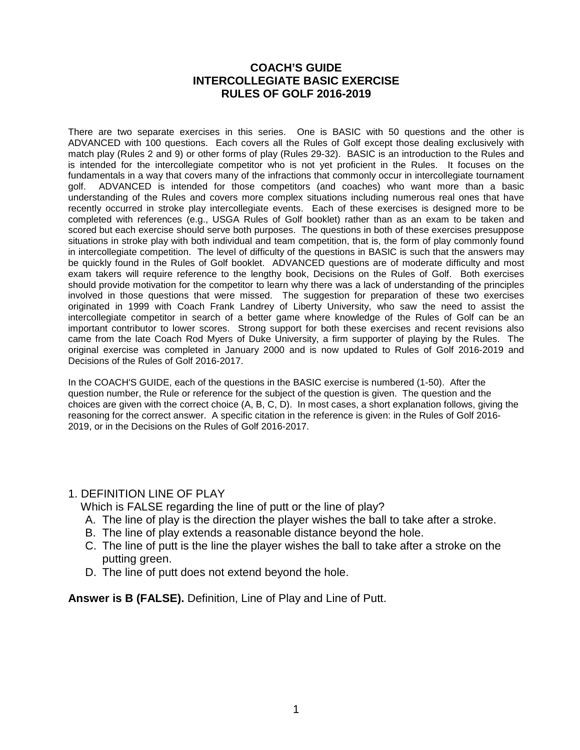#### **COACH'S GUIDE INTERCOLLEGIATE BASIC EXERCISE RULES OF GOLF 2016-2019**

There are two separate exercises in this series. One is BASIC with 50 questions and the other is ADVANCED with 100 questions. Each covers all the Rules of Golf except those dealing exclusively with match play (Rules 2 and 9) or other forms of play (Rules 29-32). BASIC is an introduction to the Rules and is intended for the intercollegiate competitor who is not yet proficient in the Rules. It focuses on the fundamentals in a way that covers many of the infractions that commonly occur in intercollegiate tournament qolf. ADVANCED is intended for those competitors (and coaches) who want more than a basic ADVANCED is intended for those competitors (and coaches) who want more than a basic understanding of the Rules and covers more complex situations including numerous real ones that have recently occurred in stroke play intercollegiate events. Each of these exercises is designed more to be completed with references (e.g., USGA Rules of Golf booklet) rather than as an exam to be taken and scored but each exercise should serve both purposes. The questions in both of these exercises presuppose situations in stroke play with both individual and team competition, that is, the form of play commonly found in intercollegiate competition. The level of difficulty of the questions in BASIC is such that the answers may be quickly found in the Rules of Golf booklet. ADVANCED questions are of moderate difficulty and most exam takers will require reference to the lengthy book, Decisions on the Rules of Golf. Both exercises should provide motivation for the competitor to learn why there was a lack of understanding of the principles involved in those questions that were missed. The suggestion for preparation of these two exercises originated in 1999 with Coach Frank Landrey of Liberty University, who saw the need to assist the intercollegiate competitor in search of a better game where knowledge of the Rules of Golf can be an important contributor to lower scores. Strong support for both these exercises and recent revisions also came from the late Coach Rod Myers of Duke University, a firm supporter of playing by the Rules. The original exercise was completed in January 2000 and is now updated to Rules of Golf 2016-2019 and Decisions of the Rules of Golf 2016-2017.

In the COACH'S GUIDE, each of the questions in the BASIC exercise is numbered (1-50). After the question number, the Rule or reference for the subject of the question is given. The question and the choices are given with the correct choice (A, B, C, D). In most cases, a short explanation follows, giving the reasoning for the correct answer. A specific citation in the reference is given: in the Rules of Golf 2016- 2019, or in the Decisions on the Rules of Golf 2016-2017.

#### 1. DEFINITION LINE OF PLAY

Which is FALSE regarding the line of putt or the line of play?

- A. The line of play is the direction the player wishes the ball to take after a stroke.
- B. The line of play extends a reasonable distance beyond the hole.
- C. The line of putt is the line the player wishes the ball to take after a stroke on the putting green.
- D. The line of putt does not extend beyond the hole.

**Answer is B (FALSE).** Definition, Line of Play and Line of Putt.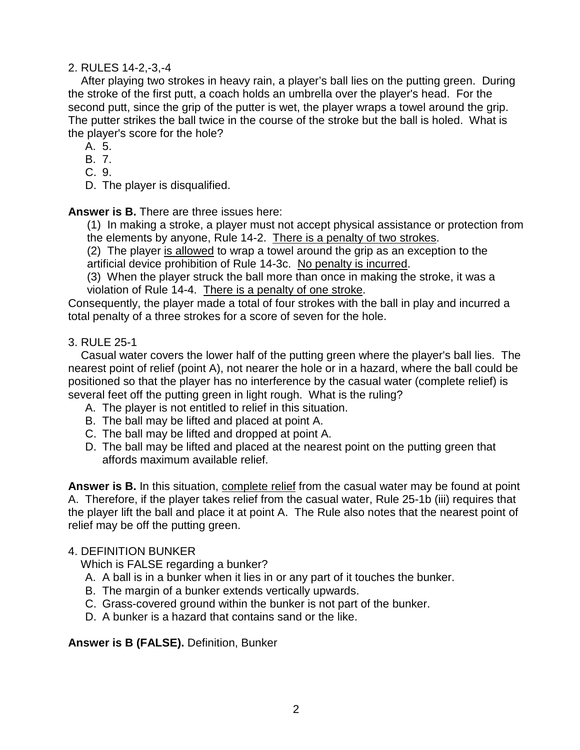### 2. RULES 14-2,-3,-4

 After playing two strokes in heavy rain, a player's ball lies on the putting green. During the stroke of the first putt, a coach holds an umbrella over the player's head. For the second putt, since the grip of the putter is wet, the player wraps a towel around the grip. The putter strikes the ball twice in the course of the stroke but the ball is holed. What is the player's score for the hole?

- A. 5.
- B. 7.
- C. 9.
- D. The player is disqualified.

**Answer is B.** There are three issues here:

(1) In making a stroke, a player must not accept physical assistance or protection from the elements by anyone, Rule 14-2. There is a penalty of two strokes.

(2) The player is allowed to wrap a towel around the grip as an exception to the artificial device prohibition of Rule 14-3c. No penalty is incurred.

(3) When the player struck the ball more than once in making the stroke, it was a violation of Rule 14-4. There is a penalty of one stroke.

Consequently, the player made a total of four strokes with the ball in play and incurred a total penalty of a three strokes for a score of seven for the hole.

### 3. RULE 25-1

 Casual water covers the lower half of the putting green where the player's ball lies. The nearest point of relief (point A), not nearer the hole or in a hazard, where the ball could be positioned so that the player has no interference by the casual water (complete relief) is several feet off the putting green in light rough. What is the ruling?

- A. The player is not entitled to relief in this situation.
- B. The ball may be lifted and placed at point A.
- C. The ball may be lifted and dropped at point A.
- D. The ball may be lifted and placed at the nearest point on the putting green that affords maximum available relief.

**Answer is B.** In this situation, complete relief from the casual water may be found at point A. Therefore, if the player takes relief from the casual water, Rule 25-1b (iii) requires that the player lift the ball and place it at point A. The Rule also notes that the nearest point of relief may be off the putting green.

### 4. DEFINITION BUNKER

Which is FALSE regarding a bunker?

- A. A ball is in a bunker when it lies in or any part of it touches the bunker.
- B. The margin of a bunker extends vertically upwards.
- C. Grass-covered ground within the bunker is not part of the bunker.
- D. A bunker is a hazard that contains sand or the like.

**Answer is B (FALSE).** Definition, Bunker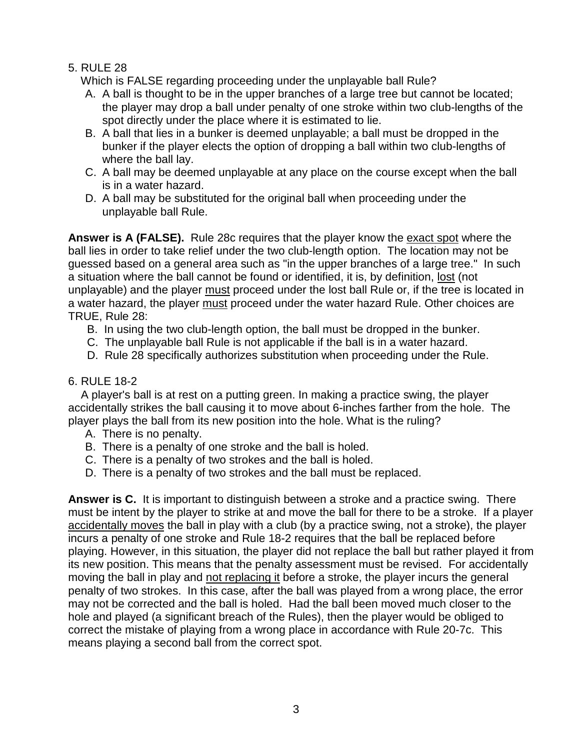# 5. RULE 28

Which is FALSE regarding proceeding under the unplayable ball Rule?

- A. A ball is thought to be in the upper branches of a large tree but cannot be located; the player may drop a ball under penalty of one stroke within two club-lengths of the spot directly under the place where it is estimated to lie.
- B. A ball that lies in a bunker is deemed unplayable; a ball must be dropped in the bunker if the player elects the option of dropping a ball within two club-lengths of where the ball lay.
- C. A ball may be deemed unplayable at any place on the course except when the ball is in a water hazard.
- D. A ball may be substituted for the original ball when proceeding under the unplayable ball Rule.

**Answer is A (FALSE).** Rule 28c requires that the player know the exact spot where the ball lies in order to take relief under the two club-length option. The location may not be guessed based on a general area such as "in the upper branches of a large tree." In such a situation where the ball cannot be found or identified, it is, by definition, lost (not unplayable) and the player must proceed under the lost ball Rule or, if the tree is located in a water hazard, the player must proceed under the water hazard Rule. Other choices are TRUE, Rule 28:

- B. In using the two club-length option, the ball must be dropped in the bunker.
- C. The unplayable ball Rule is not applicable if the ball is in a water hazard.
- D. Rule 28 specifically authorizes substitution when proceeding under the Rule.

## 6. RULE 18-2

 A player's ball is at rest on a putting green. In making a practice swing, the player accidentally strikes the ball causing it to move about 6-inches farther from the hole. The player plays the ball from its new position into the hole. What is the ruling?

- A. There is no penalty.
- B. There is a penalty of one stroke and the ball is holed.
- C. There is a penalty of two strokes and the ball is holed.
- D. There is a penalty of two strokes and the ball must be replaced.

**Answer is C.** It is important to distinguish between a stroke and a practice swing. There must be intent by the player to strike at and move the ball for there to be a stroke. If a player accidentally moves the ball in play with a club (by a practice swing, not a stroke), the player incurs a penalty of one stroke and Rule 18-2 requires that the ball be replaced before playing. However, in this situation, the player did not replace the ball but rather played it from its new position. This means that the penalty assessment must be revised. For accidentally moving the ball in play and not replacing it before a stroke, the player incurs the general penalty of two strokes. In this case, after the ball was played from a wrong place, the error may not be corrected and the ball is holed. Had the ball been moved much closer to the hole and played (a significant breach of the Rules), then the player would be obliged to correct the mistake of playing from a wrong place in accordance with Rule 20-7c. This means playing a second ball from the correct spot.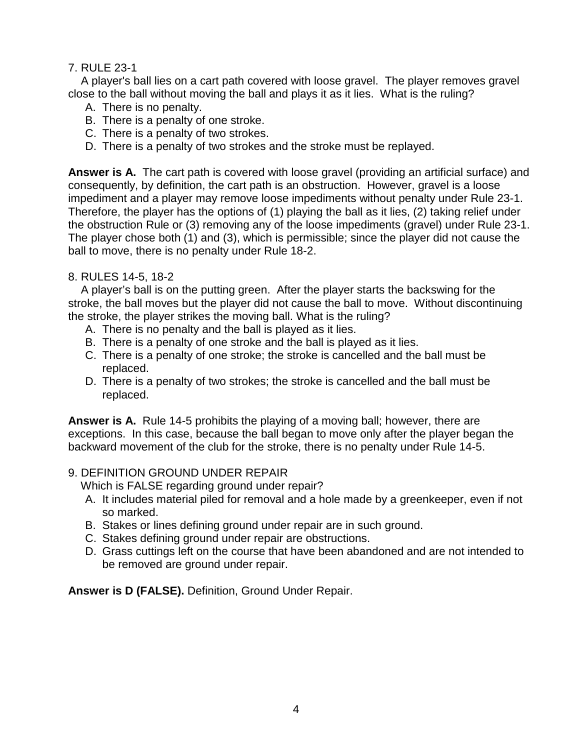### 7. RULE 23-1

 A player's ball lies on a cart path covered with loose gravel. The player removes gravel close to the ball without moving the ball and plays it as it lies. What is the ruling?

- A. There is no penalty.
- B. There is a penalty of one stroke.
- C. There is a penalty of two strokes.
- D. There is a penalty of two strokes and the stroke must be replayed.

**Answer is A.** The cart path is covered with loose gravel (providing an artificial surface) and consequently, by definition, the cart path is an obstruction. However, gravel is a loose impediment and a player may remove loose impediments without penalty under Rule 23-1. Therefore, the player has the options of (1) playing the ball as it lies, (2) taking relief under the obstruction Rule or (3) removing any of the loose impediments (gravel) under Rule 23-1. The player chose both (1) and (3), which is permissible; since the player did not cause the ball to move, there is no penalty under Rule 18-2.

### 8. RULES 14-5, 18-2

 A player's ball is on the putting green. After the player starts the backswing for the stroke, the ball moves but the player did not cause the ball to move. Without discontinuing the stroke, the player strikes the moving ball. What is the ruling?

- A. There is no penalty and the ball is played as it lies.
- B. There is a penalty of one stroke and the ball is played as it lies.
- C. There is a penalty of one stroke; the stroke is cancelled and the ball must be replaced.
- D. There is a penalty of two strokes; the stroke is cancelled and the ball must be replaced.

**Answer is A.** Rule 14-5 prohibits the playing of a moving ball; however, there are exceptions. In this case, because the ball began to move only after the player began the backward movement of the club for the stroke, there is no penalty under Rule 14-5.

### 9. DEFINITION GROUND UNDER REPAIR

Which is FALSE regarding ground under repair?

- A. It includes material piled for removal and a hole made by a greenkeeper, even if not so marked.
- B. Stakes or lines defining ground under repair are in such ground.
- C. Stakes defining ground under repair are obstructions.
- D. Grass cuttings left on the course that have been abandoned and are not intended to be removed are ground under repair.

**Answer is D (FALSE).** Definition, Ground Under Repair.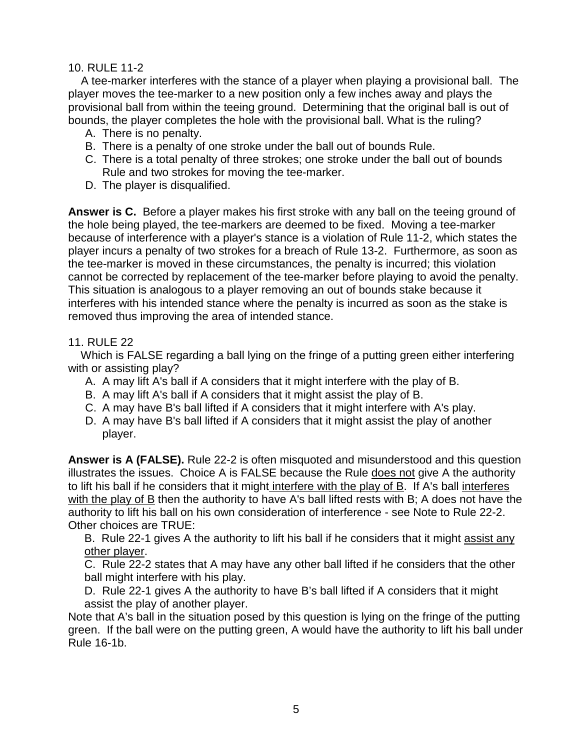#### 10. RULE 11-2

 A tee-marker interferes with the stance of a player when playing a provisional ball. The player moves the tee-marker to a new position only a few inches away and plays the provisional ball from within the teeing ground. Determining that the original ball is out of bounds, the player completes the hole with the provisional ball. What is the ruling?

- A. There is no penalty.
- B. There is a penalty of one stroke under the ball out of bounds Rule.
- C. There is a total penalty of three strokes; one stroke under the ball out of bounds Rule and two strokes for moving the tee-marker.
- D. The player is disqualified.

**Answer is C.** Before a player makes his first stroke with any ball on the teeing ground of the hole being played, the tee-markers are deemed to be fixed. Moving a tee-marker because of interference with a player's stance is a violation of Rule 11-2, which states the player incurs a penalty of two strokes for a breach of Rule 13-2. Furthermore, as soon as the tee-marker is moved in these circumstances, the penalty is incurred; this violation cannot be corrected by replacement of the tee-marker before playing to avoid the penalty. This situation is analogous to a player removing an out of bounds stake because it interferes with his intended stance where the penalty is incurred as soon as the stake is removed thus improving the area of intended stance.

#### 11. RULE 22

 Which is FALSE regarding a ball lying on the fringe of a putting green either interfering with or assisting play?

- A. A may lift A's ball if A considers that it might interfere with the play of B.
- B. A may lift A's ball if A considers that it might assist the play of B.
- C. A may have B's ball lifted if A considers that it might interfere with A's play.
- D. A may have B's ball lifted if A considers that it might assist the play of another player.

**Answer is A (FALSE).** Rule 22-2 is often misquoted and misunderstood and this question illustrates the issues. Choice A is FALSE because the Rule does not give A the authority to lift his ball if he considers that it might interfere with the play of B. If A's ball interferes with the play of B then the authority to have A's ball lifted rests with B; A does not have the authority to lift his ball on his own consideration of interference - see Note to Rule 22-2. Other choices are TRUE:

B. Rule 22-1 gives A the authority to lift his ball if he considers that it might assist any other player.

C. Rule 22-2 states that A may have any other ball lifted if he considers that the other ball might interfere with his play.

D. Rule 22-1 gives A the authority to have B's ball lifted if A considers that it might assist the play of another player.

Note that A's ball in the situation posed by this question is lying on the fringe of the putting green. If the ball were on the putting green, A would have the authority to lift his ball under Rule 16-1b.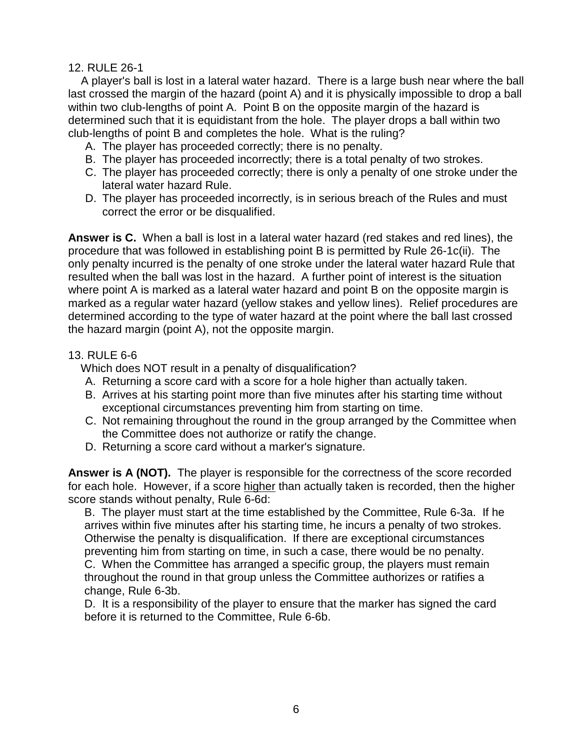#### 12. RULE 26-1

 A player's ball is lost in a lateral water hazard. There is a large bush near where the ball last crossed the margin of the hazard (point A) and it is physically impossible to drop a ball within two club-lengths of point A. Point B on the opposite margin of the hazard is determined such that it is equidistant from the hole. The player drops a ball within two club-lengths of point B and completes the hole. What is the ruling?

- A. The player has proceeded correctly; there is no penalty.
- B. The player has proceeded incorrectly; there is a total penalty of two strokes.
- C. The player has proceeded correctly; there is only a penalty of one stroke under the lateral water hazard Rule.
- D. The player has proceeded incorrectly, is in serious breach of the Rules and must correct the error or be disqualified.

**Answer is C.** When a ball is lost in a lateral water hazard (red stakes and red lines), the procedure that was followed in establishing point B is permitted by Rule 26-1c(ii). The only penalty incurred is the penalty of one stroke under the lateral water hazard Rule that resulted when the ball was lost in the hazard. A further point of interest is the situation where point A is marked as a lateral water hazard and point B on the opposite margin is marked as a regular water hazard (yellow stakes and yellow lines). Relief procedures are determined according to the type of water hazard at the point where the ball last crossed the hazard margin (point A), not the opposite margin.

### 13. RULE 6-6

Which does NOT result in a penalty of disqualification?

- A. Returning a score card with a score for a hole higher than actually taken.
- B. Arrives at his starting point more than five minutes after his starting time without exceptional circumstances preventing him from starting on time.
- C. Not remaining throughout the round in the group arranged by the Committee when the Committee does not authorize or ratify the change.
- D. Returning a score card without a marker's signature.

**Answer is A (NOT).** The player is responsible for the correctness of the score recorded for each hole. However, if a score higher than actually taken is recorded, then the higher score stands without penalty, Rule 6-6d:

B. The player must start at the time established by the Committee, Rule 6-3a. If he arrives within five minutes after his starting time, he incurs a penalty of two strokes. Otherwise the penalty is disqualification. If there are exceptional circumstances preventing him from starting on time, in such a case, there would be no penalty. C. When the Committee has arranged a specific group, the players must remain throughout the round in that group unless the Committee authorizes or ratifies a change, Rule 6-3b.

D. It is a responsibility of the player to ensure that the marker has signed the card before it is returned to the Committee, Rule 6-6b.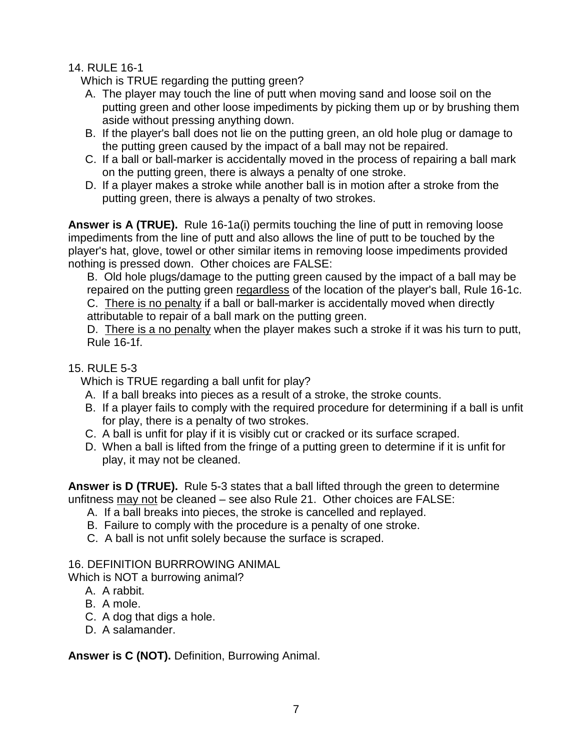# 14. RULE 16-1

Which is TRUE regarding the putting green?

- A. The player may touch the line of putt when moving sand and loose soil on the putting green and other loose impediments by picking them up or by brushing them aside without pressing anything down.
- B. If the player's ball does not lie on the putting green, an old hole plug or damage to the putting green caused by the impact of a ball may not be repaired.
- C. If a ball or ball-marker is accidentally moved in the process of repairing a ball mark on the putting green, there is always a penalty of one stroke.
- D. If a player makes a stroke while another ball is in motion after a stroke from the putting green, there is always a penalty of two strokes.

**Answer is A (TRUE).** Rule 16-1a(i) permits touching the line of putt in removing loose impediments from the line of putt and also allows the line of putt to be touched by the player's hat, glove, towel or other similar items in removing loose impediments provided nothing is pressed down. Other choices are FALSE:

B. Old hole plugs/damage to the putting green caused by the impact of a ball may be repaired on the putting green regardless of the location of the player's ball, Rule 16-1c. C. There is no penalty if a ball or ball-marker is accidentally moved when directly

attributable to repair of a ball mark on the putting green.

D. There is a no penalty when the player makes such a stroke if it was his turn to putt, Rule 16-1f.

# 15. RULE 5-3

Which is TRUE regarding a ball unfit for play?

- A. If a ball breaks into pieces as a result of a stroke, the stroke counts.
- B. If a player fails to comply with the required procedure for determining if a ball is unfit for play, there is a penalty of two strokes.
- C. A ball is unfit for play if it is visibly cut or cracked or its surface scraped.
- D. When a ball is lifted from the fringe of a putting green to determine if it is unfit for play, it may not be cleaned.

**Answer is D (TRUE).** Rule 5-3 states that a ball lifted through the green to determine unfitness may not be cleaned – see also Rule 21. Other choices are FALSE:

- A. If a ball breaks into pieces, the stroke is cancelled and replayed.
- B. Failure to comply with the procedure is a penalty of one stroke.
- C. A ball is not unfit solely because the surface is scraped.

# 16. DEFINITION BURRROWING ANIMAL

Which is NOT a burrowing animal?

- A. A rabbit.
- B. A mole.
- C. A dog that digs a hole.
- D. A salamander.

**Answer is C (NOT).** Definition, Burrowing Animal.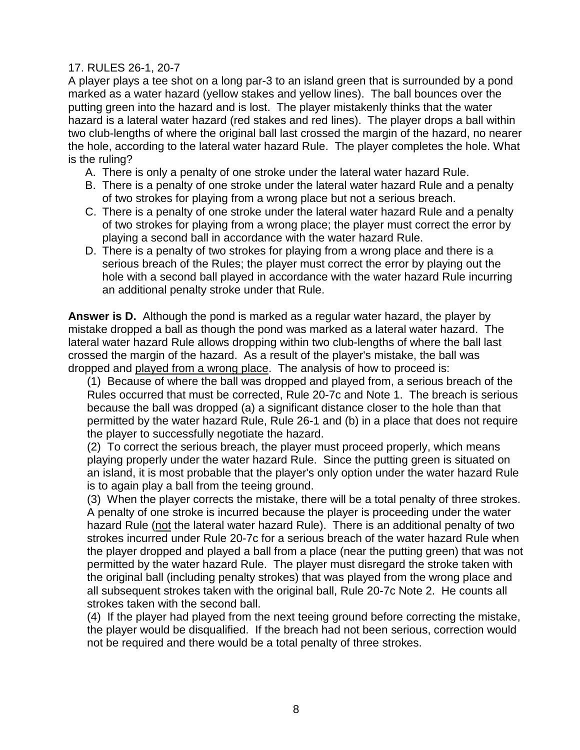### 17. RULES 26-1, 20-7

A player plays a tee shot on a long par-3 to an island green that is surrounded by a pond marked as a water hazard (yellow stakes and yellow lines). The ball bounces over the putting green into the hazard and is lost. The player mistakenly thinks that the water hazard is a lateral water hazard (red stakes and red lines). The player drops a ball within two club-lengths of where the original ball last crossed the margin of the hazard, no nearer the hole, according to the lateral water hazard Rule. The player completes the hole. What is the ruling?

- A. There is only a penalty of one stroke under the lateral water hazard Rule.
- B. There is a penalty of one stroke under the lateral water hazard Rule and a penalty of two strokes for playing from a wrong place but not a serious breach.
- C. There is a penalty of one stroke under the lateral water hazard Rule and a penalty of two strokes for playing from a wrong place; the player must correct the error by playing a second ball in accordance with the water hazard Rule.
- D. There is a penalty of two strokes for playing from a wrong place and there is a serious breach of the Rules; the player must correct the error by playing out the hole with a second ball played in accordance with the water hazard Rule incurring an additional penalty stroke under that Rule.

**Answer is D.** Although the pond is marked as a regular water hazard, the player by mistake dropped a ball as though the pond was marked as a lateral water hazard. The lateral water hazard Rule allows dropping within two club-lengths of where the ball last crossed the margin of the hazard. As a result of the player's mistake, the ball was dropped and played from a wrong place. The analysis of how to proceed is:

(1) Because of where the ball was dropped and played from, a serious breach of the Rules occurred that must be corrected, Rule 20-7c and Note 1. The breach is serious because the ball was dropped (a) a significant distance closer to the hole than that permitted by the water hazard Rule, Rule 26-1 and (b) in a place that does not require the player to successfully negotiate the hazard.

(2) To correct the serious breach, the player must proceed properly, which means playing properly under the water hazard Rule. Since the putting green is situated on an island, it is most probable that the player's only option under the water hazard Rule is to again play a ball from the teeing ground.

(3) When the player corrects the mistake, there will be a total penalty of three strokes. A penalty of one stroke is incurred because the player is proceeding under the water hazard Rule (not the lateral water hazard Rule). There is an additional penalty of two strokes incurred under Rule 20-7c for a serious breach of the water hazard Rule when the player dropped and played a ball from a place (near the putting green) that was not permitted by the water hazard Rule. The player must disregard the stroke taken with the original ball (including penalty strokes) that was played from the wrong place and all subsequent strokes taken with the original ball, Rule 20-7c Note 2. He counts all strokes taken with the second ball.

(4) If the player had played from the next teeing ground before correcting the mistake, the player would be disqualified. If the breach had not been serious, correction would not be required and there would be a total penalty of three strokes.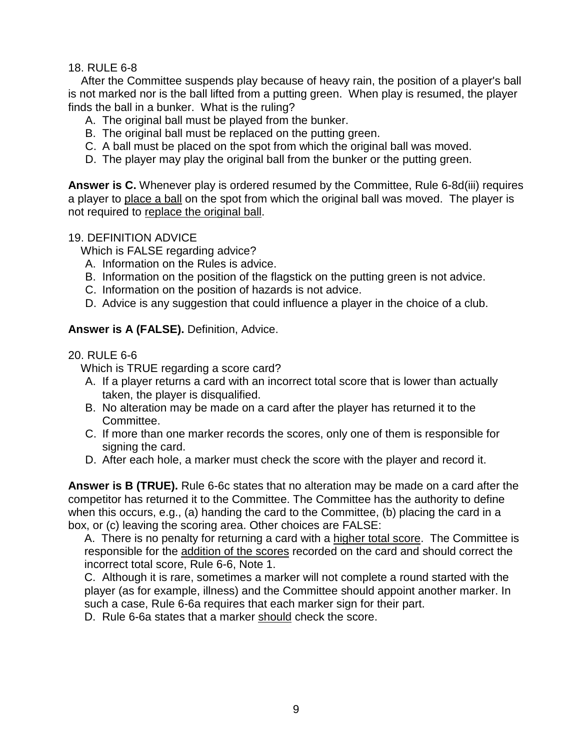18. RULE 6-8

 After the Committee suspends play because of heavy rain, the position of a player's ball is not marked nor is the ball lifted from a putting green. When play is resumed, the player finds the ball in a bunker. What is the ruling?

- A. The original ball must be played from the bunker.
- B. The original ball must be replaced on the putting green.
- C. A ball must be placed on the spot from which the original ball was moved.
- D. The player may play the original ball from the bunker or the putting green.

**Answer is C.** Whenever play is ordered resumed by the Committee, Rule 6-8d(iii) requires a player to place a ball on the spot from which the original ball was moved. The player is not required to replace the original ball.

### 19. DEFINITION ADVICE

Which is FALSE regarding advice?

- A. Information on the Rules is advice.
- B. Information on the position of the flagstick on the putting green is not advice.
- C. Information on the position of hazards is not advice.
- D. Advice is any suggestion that could influence a player in the choice of a club.

### **Answer is A (FALSE).** Definition, Advice.

### 20. RULE 6-6

Which is TRUE regarding a score card?

- A. If a player returns a card with an incorrect total score that is lower than actually taken, the player is disqualified.
- B. No alteration may be made on a card after the player has returned it to the Committee.
- C. If more than one marker records the scores, only one of them is responsible for signing the card.
- D. After each hole, a marker must check the score with the player and record it.

**Answer is B (TRUE).** Rule 6-6c states that no alteration may be made on a card after the competitor has returned it to the Committee. The Committee has the authority to define when this occurs, e.g., (a) handing the card to the Committee, (b) placing the card in a box, or (c) leaving the scoring area. Other choices are FALSE:

A. There is no penalty for returning a card with a higher total score. The Committee is responsible for the addition of the scores recorded on the card and should correct the incorrect total score, Rule 6-6, Note 1.

C. Although it is rare, sometimes a marker will not complete a round started with the player (as for example, illness) and the Committee should appoint another marker. In such a case, Rule 6-6a requires that each marker sign for their part.

D. Rule 6-6a states that a marker should check the score.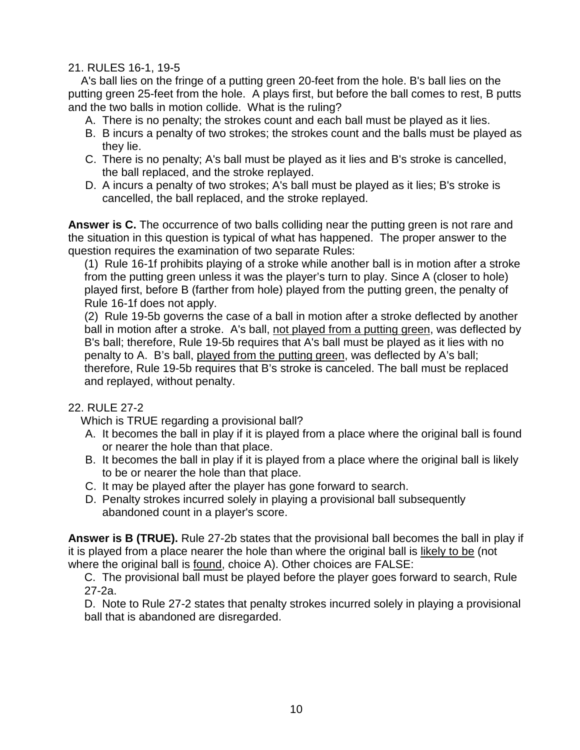### 21. RULES 16-1, 19-5

 A's ball lies on the fringe of a putting green 20-feet from the hole. B's ball lies on the putting green 25-feet from the hole. A plays first, but before the ball comes to rest, B putts and the two balls in motion collide. What is the ruling?

- A. There is no penalty; the strokes count and each ball must be played as it lies.
- B. B incurs a penalty of two strokes; the strokes count and the balls must be played as they lie.
- C. There is no penalty; A's ball must be played as it lies and B's stroke is cancelled, the ball replaced, and the stroke replayed.
- D. A incurs a penalty of two strokes; A's ball must be played as it lies; B's stroke is cancelled, the ball replaced, and the stroke replayed.

**Answer is C.** The occurrence of two balls colliding near the putting green is not rare and the situation in this question is typical of what has happened. The proper answer to the question requires the examination of two separate Rules:

(1) Rule 16-1f prohibits playing of a stroke while another ball is in motion after a stroke from the putting green unless it was the player's turn to play. Since A (closer to hole) played first, before B (farther from hole) played from the putting green, the penalty of Rule 16-1f does not apply.

(2) Rule 19-5b governs the case of a ball in motion after a stroke deflected by another ball in motion after a stroke. A's ball, not played from a putting green, was deflected by B's ball; therefore, Rule 19-5b requires that A's ball must be played as it lies with no penalty to A. B's ball, played from the putting green, was deflected by A's ball; therefore, Rule 19-5b requires that B's stroke is canceled. The ball must be replaced and replayed, without penalty.

# 22. RULE 27-2

Which is TRUE regarding a provisional ball?

- A. It becomes the ball in play if it is played from a place where the original ball is found or nearer the hole than that place.
- B. It becomes the ball in play if it is played from a place where the original ball is likely to be or nearer the hole than that place.
- C. It may be played after the player has gone forward to search.
- D. Penalty strokes incurred solely in playing a provisional ball subsequently abandoned count in a player's score.

**Answer is B (TRUE).** Rule 27-2b states that the provisional ball becomes the ball in play if it is played from a place nearer the hole than where the original ball is likely to be (not where the original ball is found, choice A). Other choices are FALSE:

C. The provisional ball must be played before the player goes forward to search, Rule 27-2a.

D. Note to Rule 27-2 states that penalty strokes incurred solely in playing a provisional ball that is abandoned are disregarded.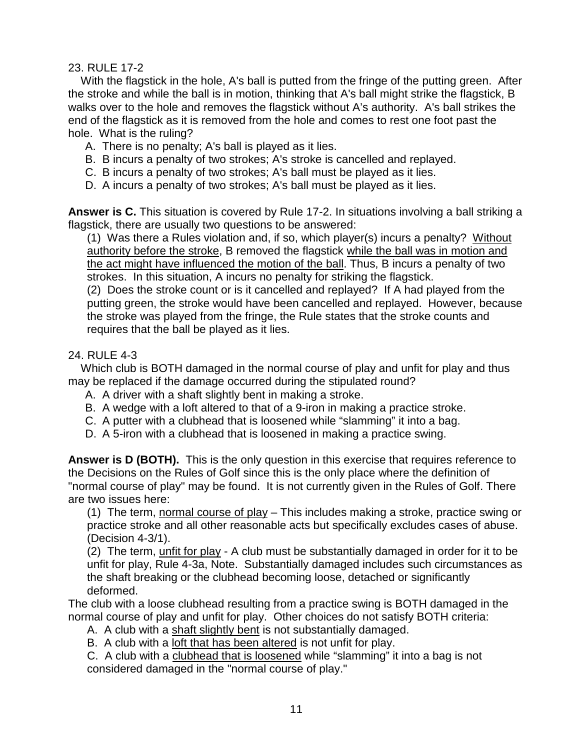### 23. RULE 17-2

With the flagstick in the hole, A's ball is putted from the fringe of the putting green. After the stroke and while the ball is in motion, thinking that A's ball might strike the flagstick, B walks over to the hole and removes the flagstick without A's authority. A's ball strikes the end of the flagstick as it is removed from the hole and comes to rest one foot past the hole. What is the ruling?

- A. There is no penalty; A's ball is played as it lies.
- B. B incurs a penalty of two strokes; A's stroke is cancelled and replayed.
- C. B incurs a penalty of two strokes; A's ball must be played as it lies.
- D. A incurs a penalty of two strokes; A's ball must be played as it lies.

**Answer is C.** This situation is covered by Rule 17-2. In situations involving a ball striking a flagstick, there are usually two questions to be answered:

(1) Was there a Rules violation and, if so, which player(s) incurs a penalty? Without authority before the stroke, B removed the flagstick while the ball was in motion and the act might have influenced the motion of the ball. Thus, B incurs a penalty of two strokes. In this situation, A incurs no penalty for striking the flagstick.

(2) Does the stroke count or is it cancelled and replayed? If A had played from the putting green, the stroke would have been cancelled and replayed. However, because the stroke was played from the fringe, the Rule states that the stroke counts and requires that the ball be played as it lies.

### 24. RULE 4-3

 Which club is BOTH damaged in the normal course of play and unfit for play and thus may be replaced if the damage occurred during the stipulated round?

- A. A driver with a shaft slightly bent in making a stroke.
- B. A wedge with a loft altered to that of a 9-iron in making a practice stroke.
- C. A putter with a clubhead that is loosened while "slamming" it into a bag.
- D. A 5-iron with a clubhead that is loosened in making a practice swing.

**Answer is D (BOTH).** This is the only question in this exercise that requires reference to the Decisions on the Rules of Golf since this is the only place where the definition of "normal course of play" may be found. It is not currently given in the Rules of Golf. There are two issues here:

(1) The term, normal course of play – This includes making a stroke, practice swing or practice stroke and all other reasonable acts but specifically excludes cases of abuse. (Decision 4-3/1).

(2) The term, unfit for play - A club must be substantially damaged in order for it to be unfit for play, Rule 4-3a, Note. Substantially damaged includes such circumstances as the shaft breaking or the clubhead becoming loose, detached or significantly deformed.

The club with a loose clubhead resulting from a practice swing is BOTH damaged in the normal course of play and unfit for play. Other choices do not satisfy BOTH criteria:

- A. A club with a shaft slightly bent is not substantially damaged.
- B. A club with a loft that has been altered is not unfit for play.
- C. A club with a clubhead that is loosened while "slamming" it into a bag is not considered damaged in the "normal course of play."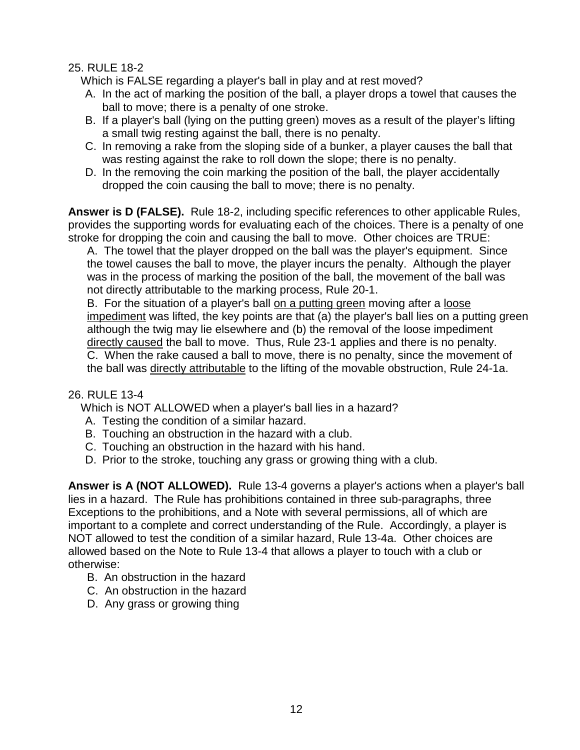### 25. RULE 18-2

Which is FALSE regarding a player's ball in play and at rest moved?

- A. In the act of marking the position of the ball, a player drops a towel that causes the ball to move; there is a penalty of one stroke.
- B. If a player's ball (lying on the putting green) moves as a result of the player's lifting a small twig resting against the ball, there is no penalty.
- C. In removing a rake from the sloping side of a bunker, a player causes the ball that was resting against the rake to roll down the slope; there is no penalty.
- D. In the removing the coin marking the position of the ball, the player accidentally dropped the coin causing the ball to move; there is no penalty.

Answer is D (FALSE). Rule 18-2, including specific references to other applicable Rules, provides the supporting words for evaluating each of the choices. There is a penalty of one stroke for dropping the coin and causing the ball to move. Other choices are TRUE:

A. The towel that the player dropped on the ball was the player's equipment. Since the towel causes the ball to move, the player incurs the penalty. Although the player was in the process of marking the position of the ball, the movement of the ball was not directly attributable to the marking process, Rule 20-1.

B. For the situation of a player's ball on a putting green moving after a loose impediment was lifted, the key points are that (a) the player's ball lies on a putting green although the twig may lie elsewhere and (b) the removal of the loose impediment directly caused the ball to move. Thus, Rule 23-1 applies and there is no penalty. C. When the rake caused a ball to move, there is no penalty, since the movement of the ball was directly attributable to the lifting of the movable obstruction, Rule 24-1a.

### 26. RULE 13-4

Which is NOT ALLOWED when a player's ball lies in a hazard?

- A. Testing the condition of a similar hazard.
- B. Touching an obstruction in the hazard with a club.
- C. Touching an obstruction in the hazard with his hand.
- D. Prior to the stroke, touching any grass or growing thing with a club.

**Answer is A (NOT ALLOWED).** Rule 13-4 governs a player's actions when a player's ball lies in a hazard. The Rule has prohibitions contained in three sub-paragraphs, three Exceptions to the prohibitions, and a Note with several permissions, all of which are important to a complete and correct understanding of the Rule. Accordingly, a player is NOT allowed to test the condition of a similar hazard, Rule 13-4a. Other choices are allowed based on the Note to Rule 13-4 that allows a player to touch with a club or otherwise:

- B. An obstruction in the hazard
- C. An obstruction in the hazard
- D. Any grass or growing thing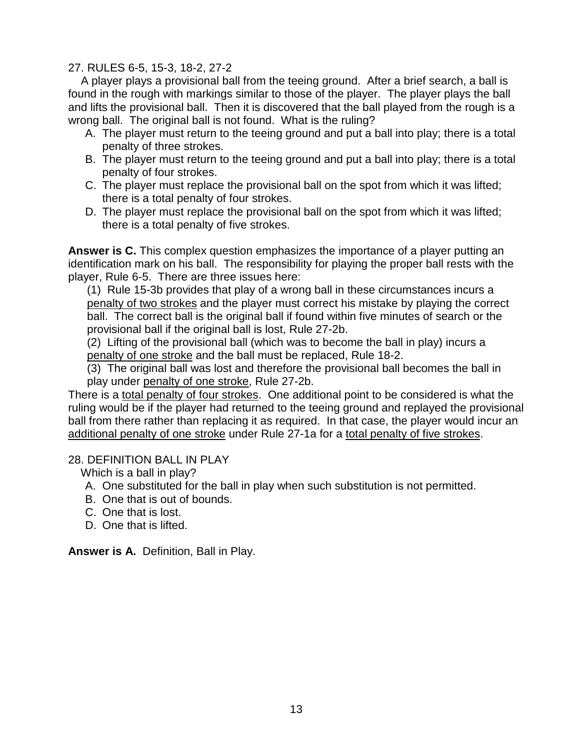### 27. RULES 6-5, 15-3, 18-2, 27-2

 A player plays a provisional ball from the teeing ground. After a brief search, a ball is found in the rough with markings similar to those of the player. The player plays the ball and lifts the provisional ball. Then it is discovered that the ball played from the rough is a wrong ball. The original ball is not found. What is the ruling?

- A. The player must return to the teeing ground and put a ball into play; there is a total penalty of three strokes.
- B. The player must return to the teeing ground and put a ball into play; there is a total penalty of four strokes.
- C. The player must replace the provisional ball on the spot from which it was lifted; there is a total penalty of four strokes.
- D. The player must replace the provisional ball on the spot from which it was lifted; there is a total penalty of five strokes.

**Answer is C.** This complex question emphasizes the importance of a player putting an identification mark on his ball. The responsibility for playing the proper ball rests with the player, Rule 6-5. There are three issues here:

(1) Rule 15-3b provides that play of a wrong ball in these circumstances incurs a penalty of two strokes and the player must correct his mistake by playing the correct ball. The correct ball is the original ball if found within five minutes of search or the provisional ball if the original ball is lost, Rule 27-2b.

(2) Lifting of the provisional ball (which was to become the ball in play) incurs a penalty of one stroke and the ball must be replaced, Rule 18-2.

(3) The original ball was lost and therefore the provisional ball becomes the ball in play under penalty of one stroke, Rule 27-2b.

There is a total penalty of four strokes. One additional point to be considered is what the ruling would be if the player had returned to the teeing ground and replayed the provisional ball from there rather than replacing it as required. In that case, the player would incur an additional penalty of one stroke under Rule 27-1a for a total penalty of five strokes.

### 28. DEFINITION BALL IN PLAY

Which is a ball in play?

- A. One substituted for the ball in play when such substitution is not permitted.
- B. One that is out of bounds.
- C. One that is lost.
- D. One that is lifted.

**Answer is A.** Definition, Ball in Play.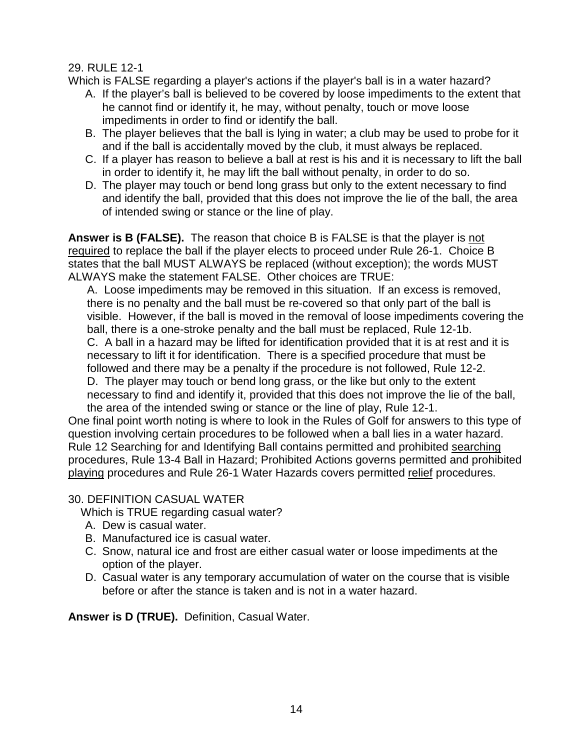### 29. RULE 12-1

Which is FALSE regarding a player's actions if the player's ball is in a water hazard?

- A. If the player's ball is believed to be covered by loose impediments to the extent that he cannot find or identify it, he may, without penalty, touch or move loose impediments in order to find or identify the ball.
- B. The player believes that the ball is lying in water; a club may be used to probe for it and if the ball is accidentally moved by the club, it must always be replaced.
- C. If a player has reason to believe a ball at rest is his and it is necessary to lift the ball in order to identify it, he may lift the ball without penalty, in order to do so.
- D. The player may touch or bend long grass but only to the extent necessary to find and identify the ball, provided that this does not improve the lie of the ball, the area of intended swing or stance or the line of play.

**Answer is B (FALSE).** The reason that choice B is FALSE is that the player is not required to replace the ball if the player elects to proceed under Rule 26-1. Choice B states that the ball MUST ALWAYS be replaced (without exception); the words MUST ALWAYS make the statement FALSE. Other choices are TRUE:

A. Loose impediments may be removed in this situation. If an excess is removed, there is no penalty and the ball must be re-covered so that only part of the ball is visible. However, if the ball is moved in the removal of loose impediments covering the ball, there is a one-stroke penalty and the ball must be replaced, Rule 12-1b. C. A ball in a hazard may be lifted for identification provided that it is at rest and it is necessary to lift it for identification. There is a specified procedure that must be followed and there may be a penalty if the procedure is not followed, Rule 12-2.

D. The player may touch or bend long grass, or the like but only to the extent necessary to find and identify it, provided that this does not improve the lie of the ball, the area of the intended swing or stance or the line of play, Rule 12-1.

One final point worth noting is where to look in the Rules of Golf for answers to this type of question involving certain procedures to be followed when a ball lies in a water hazard. Rule 12 Searching for and Identifying Ball contains permitted and prohibited searching procedures, Rule 13-4 Ball in Hazard; Prohibited Actions governs permitted and prohibited playing procedures and Rule 26-1 Water Hazards covers permitted relief procedures.

### 30. DEFINITION CASUAL WATER

Which is TRUE regarding casual water?

- A. Dew is casual water.
- B. Manufactured ice is casual water.
- C. Snow, natural ice and frost are either casual water or loose impediments at the option of the player.
- D. Casual water is any temporary accumulation of water on the course that is visible before or after the stance is taken and is not in a water hazard.

**Answer is D (TRUE).** Definition, Casual Water.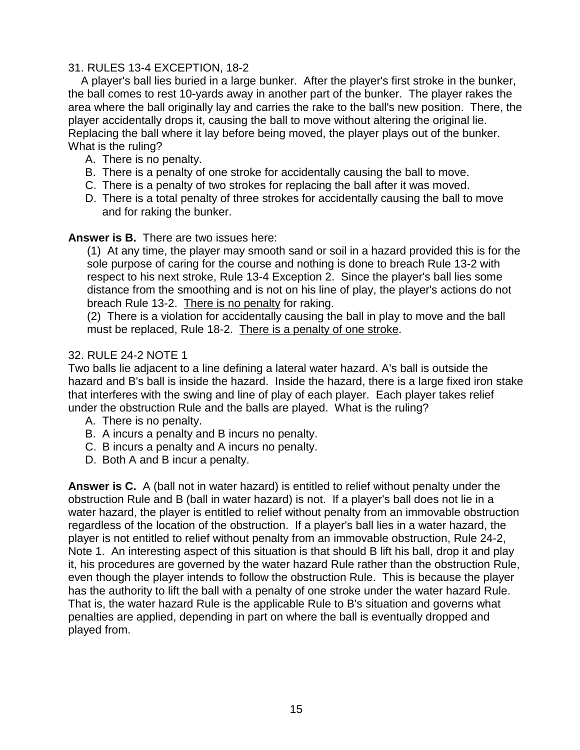### 31. RULES 13-4 EXCEPTION, 18-2

 A player's ball lies buried in a large bunker. After the player's first stroke in the bunker, the ball comes to rest 10-yards away in another part of the bunker. The player rakes the area where the ball originally lay and carries the rake to the ball's new position. There, the player accidentally drops it, causing the ball to move without altering the original lie. Replacing the ball where it lay before being moved, the player plays out of the bunker. What is the ruling?

- A. There is no penalty.
- B. There is a penalty of one stroke for accidentally causing the ball to move.
- C. There is a penalty of two strokes for replacing the ball after it was moved.
- D. There is a total penalty of three strokes for accidentally causing the ball to move and for raking the bunker.

### **Answer is B.** There are two issues here:

(1) At any time, the player may smooth sand or soil in a hazard provided this is for the sole purpose of caring for the course and nothing is done to breach Rule 13-2 with respect to his next stroke, Rule 13-4 Exception 2. Since the player's ball lies some distance from the smoothing and is not on his line of play, the player's actions do not breach Rule 13-2. There is no penalty for raking.

(2) There is a violation for accidentally causing the ball in play to move and the ball must be replaced, Rule 18-2. There is a penalty of one stroke.

### 32. RULE 24-2 NOTE 1

Two balls lie adjacent to a line defining a lateral water hazard. A's ball is outside the hazard and B's ball is inside the hazard. Inside the hazard, there is a large fixed iron stake that interferes with the swing and line of play of each player. Each player takes relief under the obstruction Rule and the balls are played. What is the ruling?

- A. There is no penalty.
- B. A incurs a penalty and B incurs no penalty.
- C. B incurs a penalty and A incurs no penalty.
- D. Both A and B incur a penalty.

**Answer is C.** A (ball not in water hazard) is entitled to relief without penalty under the obstruction Rule and B (ball in water hazard) is not. If a player's ball does not lie in a water hazard, the player is entitled to relief without penalty from an immovable obstruction regardless of the location of the obstruction. If a player's ball lies in a water hazard, the player is not entitled to relief without penalty from an immovable obstruction, Rule 24-2, Note 1. An interesting aspect of this situation is that should B lift his ball, drop it and play it, his procedures are governed by the water hazard Rule rather than the obstruction Rule, even though the player intends to follow the obstruction Rule. This is because the player has the authority to lift the ball with a penalty of one stroke under the water hazard Rule. That is, the water hazard Rule is the applicable Rule to B's situation and governs what penalties are applied, depending in part on where the ball is eventually dropped and played from.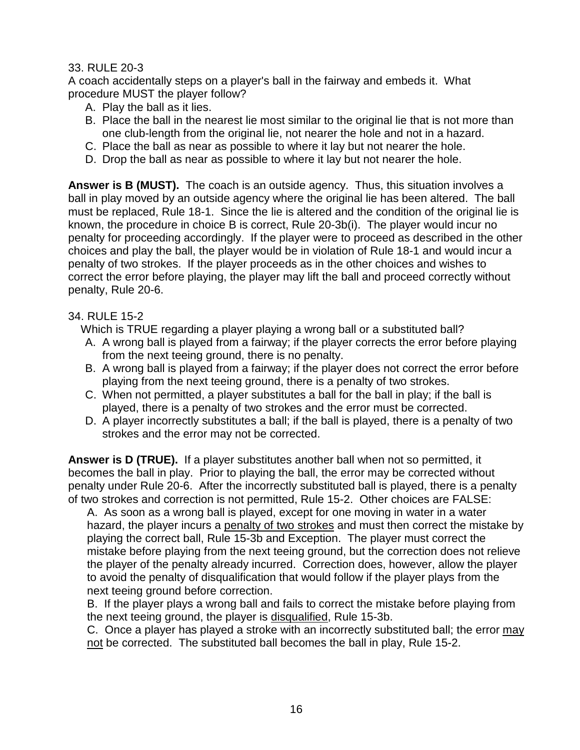### 33. RULE 20-3

A coach accidentally steps on a player's ball in the fairway and embeds it. What procedure MUST the player follow?

- A. Play the ball as it lies.
- B. Place the ball in the nearest lie most similar to the original lie that is not more than one club-length from the original lie, not nearer the hole and not in a hazard.
- C. Place the ball as near as possible to where it lay but not nearer the hole.
- D. Drop the ball as near as possible to where it lay but not nearer the hole.

**Answer is B (MUST).** The coach is an outside agency. Thus, this situation involves a ball in play moved by an outside agency where the original lie has been altered. The ball must be replaced, Rule 18-1. Since the lie is altered and the condition of the original lie is known, the procedure in choice B is correct, Rule 20-3b(i). The player would incur no penalty for proceeding accordingly. If the player were to proceed as described in the other choices and play the ball, the player would be in violation of Rule 18-1 and would incur a penalty of two strokes. If the player proceeds as in the other choices and wishes to correct the error before playing, the player may lift the ball and proceed correctly without penalty, Rule 20-6.

### 34. RULE 15-2

Which is TRUE regarding a player playing a wrong ball or a substituted ball?

- A. A wrong ball is played from a fairway; if the player corrects the error before playing from the next teeing ground, there is no penalty.
- B. A wrong ball is played from a fairway; if the player does not correct the error before playing from the next teeing ground, there is a penalty of two strokes.
- C. When not permitted, a player substitutes a ball for the ball in play; if the ball is played, there is a penalty of two strokes and the error must be corrected.
- D. A player incorrectly substitutes a ball; if the ball is played, there is a penalty of two strokes and the error may not be corrected.

**Answer is D (TRUE).** If a player substitutes another ball when not so permitted, it becomes the ball in play. Prior to playing the ball, the error may be corrected without penalty under Rule 20-6. After the incorrectly substituted ball is played, there is a penalty of two strokes and correction is not permitted, Rule 15-2. Other choices are FALSE:

A. As soon as a wrong ball is played, except for one moving in water in a water hazard, the player incurs a penalty of two strokes and must then correct the mistake by playing the correct ball, Rule 15-3b and Exception. The player must correct the mistake before playing from the next teeing ground, but the correction does not relieve the player of the penalty already incurred. Correction does, however, allow the player to avoid the penalty of disqualification that would follow if the player plays from the next teeing ground before correction.

B. If the player plays a wrong ball and fails to correct the mistake before playing from the next teeing ground, the player is disqualified, Rule 15-3b.

C. Once a player has played a stroke with an incorrectly substituted ball; the error may not be corrected. The substituted ball becomes the ball in play, Rule 15-2.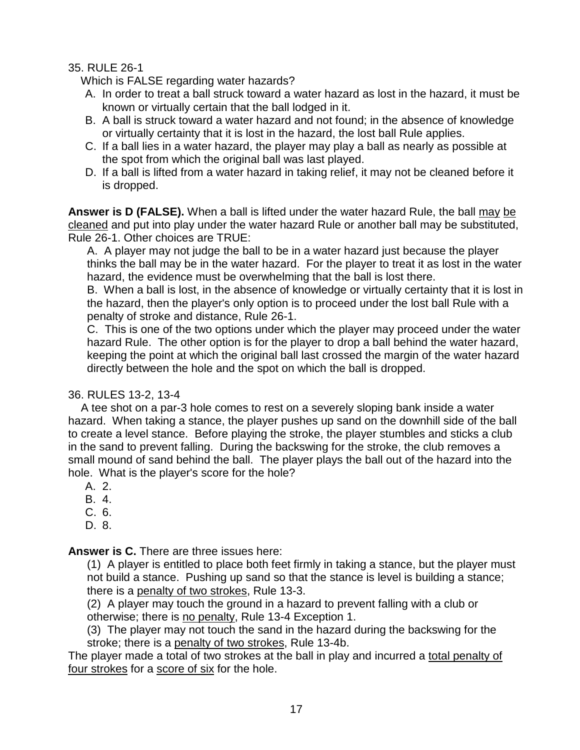### 35. RULE 26-1

Which is FALSE regarding water hazards?

- A. In order to treat a ball struck toward a water hazard as lost in the hazard, it must be known or virtually certain that the ball lodged in it.
- B. A ball is struck toward a water hazard and not found; in the absence of knowledge or virtually certainty that it is lost in the hazard, the lost ball Rule applies.
- C. If a ball lies in a water hazard, the player may play a ball as nearly as possible at the spot from which the original ball was last played.
- D. If a ball is lifted from a water hazard in taking relief, it may not be cleaned before it is dropped.

**Answer is D (FALSE).** When a ball is lifted under the water hazard Rule, the ball may be cleaned and put into play under the water hazard Rule or another ball may be substituted, Rule 26-1. Other choices are TRUE:

A. A player may not judge the ball to be in a water hazard just because the player thinks the ball may be in the water hazard. For the player to treat it as lost in the water hazard, the evidence must be overwhelming that the ball is lost there.

B. When a ball is lost, in the absence of knowledge or virtually certainty that it is lost in the hazard, then the player's only option is to proceed under the lost ball Rule with a penalty of stroke and distance, Rule 26-1.

C. This is one of the two options under which the player may proceed under the water hazard Rule. The other option is for the player to drop a ball behind the water hazard, keeping the point at which the original ball last crossed the margin of the water hazard directly between the hole and the spot on which the ball is dropped.

# 36. RULES 13-2, 13-4

 A tee shot on a par-3 hole comes to rest on a severely sloping bank inside a water hazard. When taking a stance, the player pushes up sand on the downhill side of the ball to create a level stance. Before playing the stroke, the player stumbles and sticks a club in the sand to prevent falling. During the backswing for the stroke, the club removes a small mound of sand behind the ball. The player plays the ball out of the hazard into the hole. What is the player's score for the hole?

- A. 2.
- B. 4.
- C. 6.
- D. 8.

**Answer is C.** There are three issues here:

(1) A player is entitled to place both feet firmly in taking a stance, but the player must not build a stance. Pushing up sand so that the stance is level is building a stance; there is a penalty of two strokes, Rule 13-3.

(2) A player may touch the ground in a hazard to prevent falling with a club or otherwise; there is no penalty, Rule 13-4 Exception 1.

(3) The player may not touch the sand in the hazard during the backswing for the stroke; there is a penalty of two strokes, Rule 13-4b.

The player made a total of two strokes at the ball in play and incurred a total penalty of four strokes for a score of six for the hole.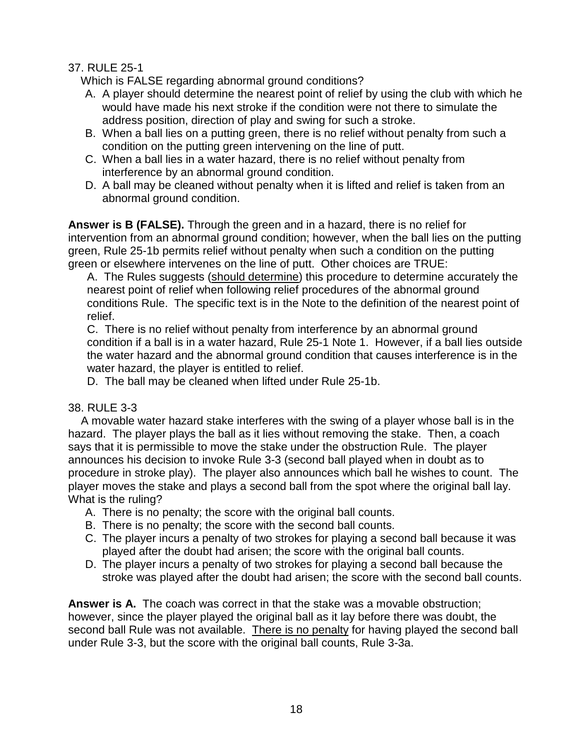## 37. RULE 25-1

Which is FALSE regarding abnormal ground conditions?

- A. A player should determine the nearest point of relief by using the club with which he would have made his next stroke if the condition were not there to simulate the address position, direction of play and swing for such a stroke.
- B. When a ball lies on a putting green, there is no relief without penalty from such a condition on the putting green intervening on the line of putt.
- C. When a ball lies in a water hazard, there is no relief without penalty from interference by an abnormal ground condition.
- D. A ball may be cleaned without penalty when it is lifted and relief is taken from an abnormal ground condition.

**Answer is B (FALSE).** Through the green and in a hazard, there is no relief for intervention from an abnormal ground condition; however, when the ball lies on the putting green, Rule 25-1b permits relief without penalty when such a condition on the putting green or elsewhere intervenes on the line of putt. Other choices are TRUE:

A. The Rules suggests (should determine) this procedure to determine accurately the nearest point of relief when following relief procedures of the abnormal ground conditions Rule. The specific text is in the Note to the definition of the nearest point of relief.

C. There is no relief without penalty from interference by an abnormal ground condition if a ball is in a water hazard, Rule 25-1 Note 1. However, if a ball lies outside the water hazard and the abnormal ground condition that causes interference is in the water hazard, the player is entitled to relief.

D. The ball may be cleaned when lifted under Rule 25-1b.

### 38. RULE 3-3

 A movable water hazard stake interferes with the swing of a player whose ball is in the hazard. The player plays the ball as it lies without removing the stake. Then, a coach says that it is permissible to move the stake under the obstruction Rule. The player announces his decision to invoke Rule 3-3 (second ball played when in doubt as to procedure in stroke play). The player also announces which ball he wishes to count. The player moves the stake and plays a second ball from the spot where the original ball lay. What is the ruling?

- A. There is no penalty; the score with the original ball counts.
- B. There is no penalty; the score with the second ball counts.
- C. The player incurs a penalty of two strokes for playing a second ball because it was played after the doubt had arisen; the score with the original ball counts.
- D. The player incurs a penalty of two strokes for playing a second ball because the stroke was played after the doubt had arisen; the score with the second ball counts.

**Answer is A.** The coach was correct in that the stake was a movable obstruction; however, since the player played the original ball as it lay before there was doubt, the second ball Rule was not available. There is no penalty for having played the second ball under Rule 3-3, but the score with the original ball counts, Rule 3-3a.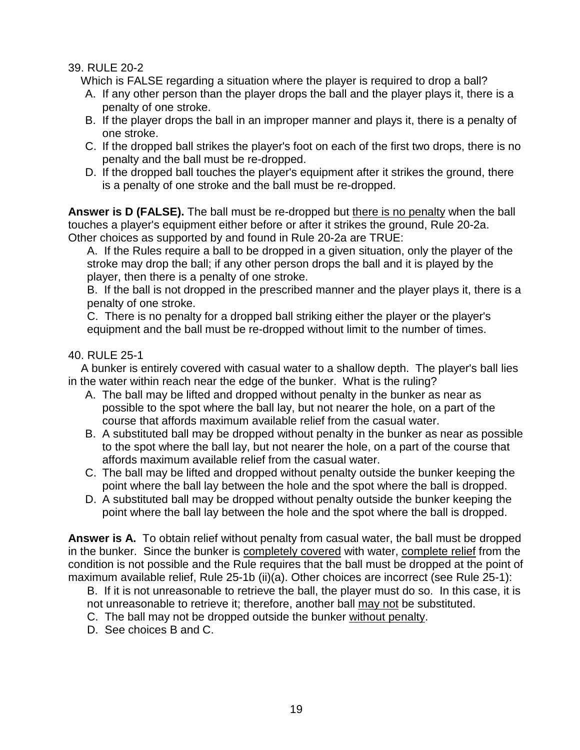### 39. RULE 20-2

Which is FALSE regarding a situation where the player is required to drop a ball?

- A. If any other person than the player drops the ball and the player plays it, there is a penalty of one stroke.
- B. If the player drops the ball in an improper manner and plays it, there is a penalty of one stroke.
- C. If the dropped ball strikes the player's foot on each of the first two drops, there is no penalty and the ball must be re-dropped.
- D. If the dropped ball touches the player's equipment after it strikes the ground, there is a penalty of one stroke and the ball must be re-dropped.

**Answer is D (FALSE).** The ball must be re-dropped but there is no penalty when the ball touches a player's equipment either before or after it strikes the ground, Rule 20-2a. Other choices as supported by and found in Rule 20-2a are TRUE:

A. If the Rules require a ball to be dropped in a given situation, only the player of the stroke may drop the ball; if any other person drops the ball and it is played by the player, then there is a penalty of one stroke.

B. If the ball is not dropped in the prescribed manner and the player plays it, there is a penalty of one stroke.

C. There is no penalty for a dropped ball striking either the player or the player's equipment and the ball must be re-dropped without limit to the number of times.

# 40. RULE 25-1

 A bunker is entirely covered with casual water to a shallow depth. The player's ball lies in the water within reach near the edge of the bunker. What is the ruling?

- A. The ball may be lifted and dropped without penalty in the bunker as near as possible to the spot where the ball lay, but not nearer the hole, on a part of the course that affords maximum available relief from the casual water.
- B. A substituted ball may be dropped without penalty in the bunker as near as possible to the spot where the ball lay, but not nearer the hole, on a part of the course that affords maximum available relief from the casual water.
- C. The ball may be lifted and dropped without penalty outside the bunker keeping the point where the ball lay between the hole and the spot where the ball is dropped.
- D. A substituted ball may be dropped without penalty outside the bunker keeping the point where the ball lay between the hole and the spot where the ball is dropped.

**Answer is A.** To obtain relief without penalty from casual water, the ball must be dropped in the bunker. Since the bunker is completely covered with water, complete relief from the condition is not possible and the Rule requires that the ball must be dropped at the point of maximum available relief, Rule 25-1b (ii)(a). Other choices are incorrect (see Rule 25-1):

B. If it is not unreasonable to retrieve the ball, the player must do so. In this case, it is not unreasonable to retrieve it; therefore, another ball may not be substituted.

- C. The ball may not be dropped outside the bunker without penalty.
- D. See choices B and C.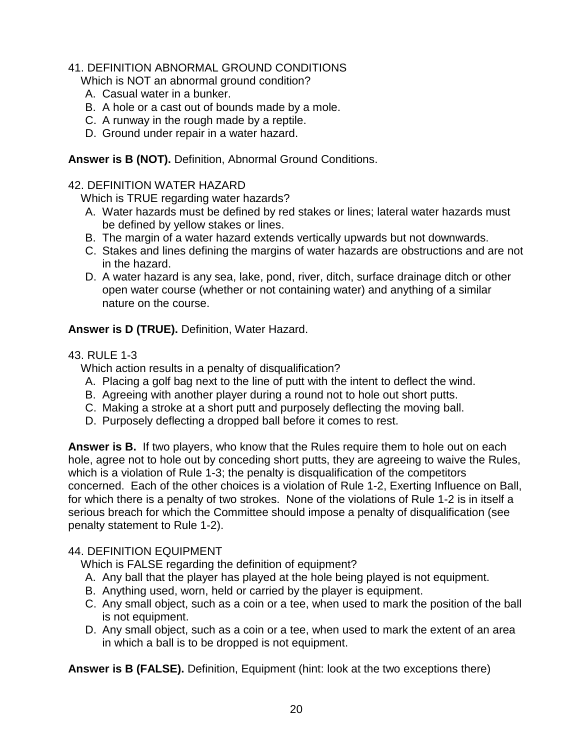# 41. DEFINITION ABNORMAL GROUND CONDITIONS

Which is NOT an abnormal ground condition?

- A. Casual water in a bunker.
- B. A hole or a cast out of bounds made by a mole.
- C. A runway in the rough made by a reptile.
- D. Ground under repair in a water hazard.

**Answer is B (NOT).** Definition, Abnormal Ground Conditions.

### 42. DEFINITION WATER HAZARD

Which is TRUE regarding water hazards?

- A. Water hazards must be defined by red stakes or lines; lateral water hazards must be defined by yellow stakes or lines.
- B. The margin of a water hazard extends vertically upwards but not downwards.
- C. Stakes and lines defining the margins of water hazards are obstructions and are not in the hazard.
- D. A water hazard is any sea, lake, pond, river, ditch, surface drainage ditch or other open water course (whether or not containing water) and anything of a similar nature on the course.

**Answer is D (TRUE).** Definition, Water Hazard.

### 43. RULE 1-3

Which action results in a penalty of disqualification?

- A. Placing a golf bag next to the line of putt with the intent to deflect the wind.
- B. Agreeing with another player during a round not to hole out short putts.
- C. Making a stroke at a short putt and purposely deflecting the moving ball.
- D. Purposely deflecting a dropped ball before it comes to rest.

**Answer is B.** If two players, who know that the Rules require them to hole out on each hole, agree not to hole out by conceding short putts, they are agreeing to waive the Rules, which is a violation of Rule 1-3; the penalty is disqualification of the competitors concerned. Each of the other choices is a violation of Rule 1-2, Exerting Influence on Ball, for which there is a penalty of two strokes. None of the violations of Rule 1-2 is in itself a serious breach for which the Committee should impose a penalty of disqualification (see penalty statement to Rule 1-2).

### 44. DEFINITION EQUIPMENT

Which is FALSE regarding the definition of equipment?

- A. Any ball that the player has played at the hole being played is not equipment.
- B. Anything used, worn, held or carried by the player is equipment.
- C. Any small object, such as a coin or a tee, when used to mark the position of the ball is not equipment.
- D. Any small object, such as a coin or a tee, when used to mark the extent of an area in which a ball is to be dropped is not equipment.

**Answer is B (FALSE).** Definition, Equipment (hint: look at the two exceptions there)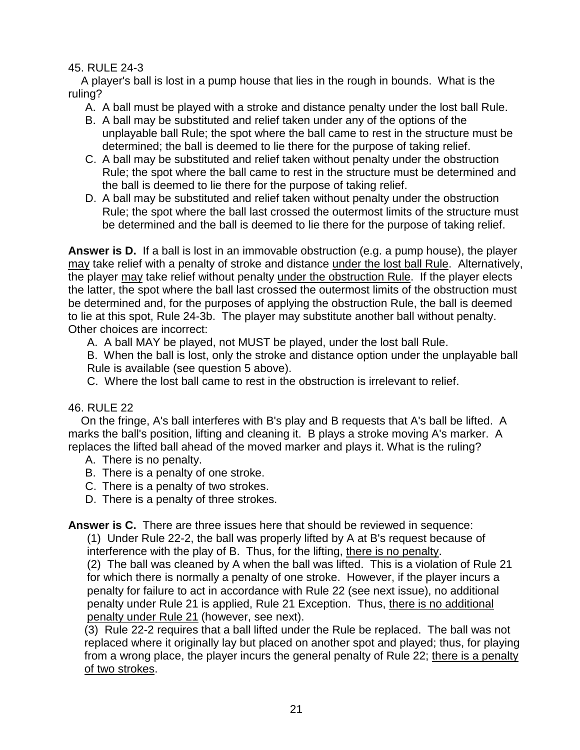### 45. RULE 24-3

 A player's ball is lost in a pump house that lies in the rough in bounds. What is the ruling?

- A. A ball must be played with a stroke and distance penalty under the lost ball Rule.
- B. A ball may be substituted and relief taken under any of the options of the unplayable ball Rule; the spot where the ball came to rest in the structure must be determined; the ball is deemed to lie there for the purpose of taking relief.
- C. A ball may be substituted and relief taken without penalty under the obstruction Rule; the spot where the ball came to rest in the structure must be determined and the ball is deemed to lie there for the purpose of taking relief.
- D. A ball may be substituted and relief taken without penalty under the obstruction Rule; the spot where the ball last crossed the outermost limits of the structure must be determined and the ball is deemed to lie there for the purpose of taking relief.

**Answer is D.** If a ball is lost in an immovable obstruction (e.g. a pump house), the player may take relief with a penalty of stroke and distance under the lost ball Rule. Alternatively, the player may take relief without penalty under the obstruction Rule. If the player elects the latter, the spot where the ball last crossed the outermost limits of the obstruction must be determined and, for the purposes of applying the obstruction Rule, the ball is deemed to lie at this spot, Rule 24-3b. The player may substitute another ball without penalty. Other choices are incorrect:

A. A ball MAY be played, not MUST be played, under the lost ball Rule.

B. When the ball is lost, only the stroke and distance option under the unplayable ball Rule is available (see question 5 above).

C. Where the lost ball came to rest in the obstruction is irrelevant to relief.

# 46. RULE 22

 On the fringe, A's ball interferes with B's play and B requests that A's ball be lifted. A marks the ball's position, lifting and cleaning it. B plays a stroke moving A's marker. A replaces the lifted ball ahead of the moved marker and plays it. What is the ruling?

- A. There is no penalty.
- B. There is a penalty of one stroke.
- C. There is a penalty of two strokes.
- D. There is a penalty of three strokes.

**Answer is C.** There are three issues here that should be reviewed in sequence:

(1) Under Rule 22-2, the ball was properly lifted by A at B's request because of interference with the play of B. Thus, for the lifting, there is no penalty.

(2) The ball was cleaned by A when the ball was lifted. This is a violation of Rule 21 for which there is normally a penalty of one stroke. However, if the player incurs a penalty for failure to act in accordance with Rule 22 (see next issue), no additional penalty under Rule 21 is applied, Rule 21 Exception. Thus, there is no additional penalty under Rule 21 (however, see next).

(3) Rule 22-2 requires that a ball lifted under the Rule be replaced. The ball was not replaced where it originally lay but placed on another spot and played; thus, for playing from a wrong place, the player incurs the general penalty of Rule 22; there is a penalty of two strokes.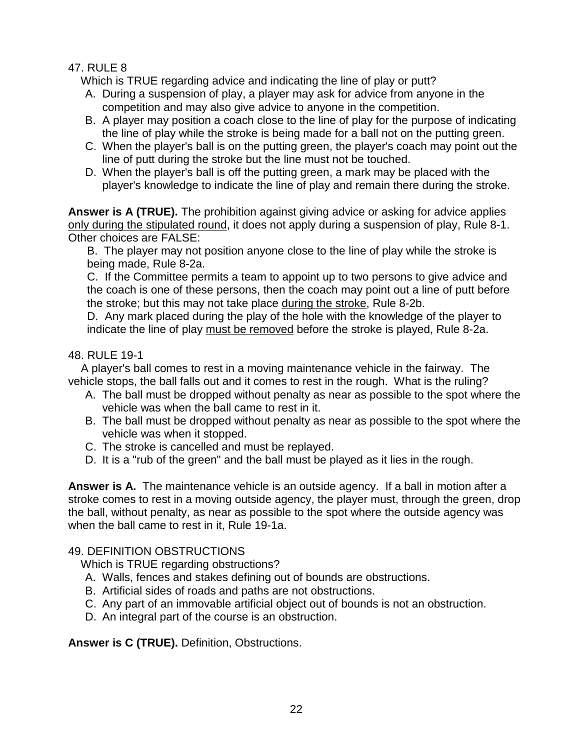# 47. RULE 8

Which is TRUE regarding advice and indicating the line of play or putt?

- A. During a suspension of play, a player may ask for advice from anyone in the competition and may also give advice to anyone in the competition.
- B. A player may position a coach close to the line of play for the purpose of indicating the line of play while the stroke is being made for a ball not on the putting green.
- C. When the player's ball is on the putting green, the player's coach may point out the line of putt during the stroke but the line must not be touched.
- D. When the player's ball is off the putting green, a mark may be placed with the player's knowledge to indicate the line of play and remain there during the stroke.

**Answer is A (TRUE).** The prohibition against giving advice or asking for advice applies only during the stipulated round, it does not apply during a suspension of play, Rule 8-1. Other choices are FALSE:

B. The player may not position anyone close to the line of play while the stroke is being made, Rule 8-2a.

C. If the Committee permits a team to appoint up to two persons to give advice and the coach is one of these persons, then the coach may point out a line of putt before the stroke; but this may not take place during the stroke, Rule 8-2b.

D. Any mark placed during the play of the hole with the knowledge of the player to indicate the line of play must be removed before the stroke is played, Rule 8-2a.

# 48. RULE 19-1

 A player's ball comes to rest in a moving maintenance vehicle in the fairway. The vehicle stops, the ball falls out and it comes to rest in the rough. What is the ruling?

- A. The ball must be dropped without penalty as near as possible to the spot where the vehicle was when the ball came to rest in it.
- B. The ball must be dropped without penalty as near as possible to the spot where the vehicle was when it stopped.
- C. The stroke is cancelled and must be replayed.
- D. It is a "rub of the green" and the ball must be played as it lies in the rough.

**Answer is A.** The maintenance vehicle is an outside agency. If a ball in motion after a stroke comes to rest in a moving outside agency, the player must, through the green, drop the ball, without penalty, as near as possible to the spot where the outside agency was when the ball came to rest in it, Rule 19-1a.

# 49. DEFINITION OBSTRUCTIONS

Which is TRUE regarding obstructions?

- A. Walls, fences and stakes defining out of bounds are obstructions.
- B. Artificial sides of roads and paths are not obstructions.
- C. Any part of an immovable artificial object out of bounds is not an obstruction.
- D. An integral part of the course is an obstruction.

**Answer is C (TRUE).** Definition, Obstructions.